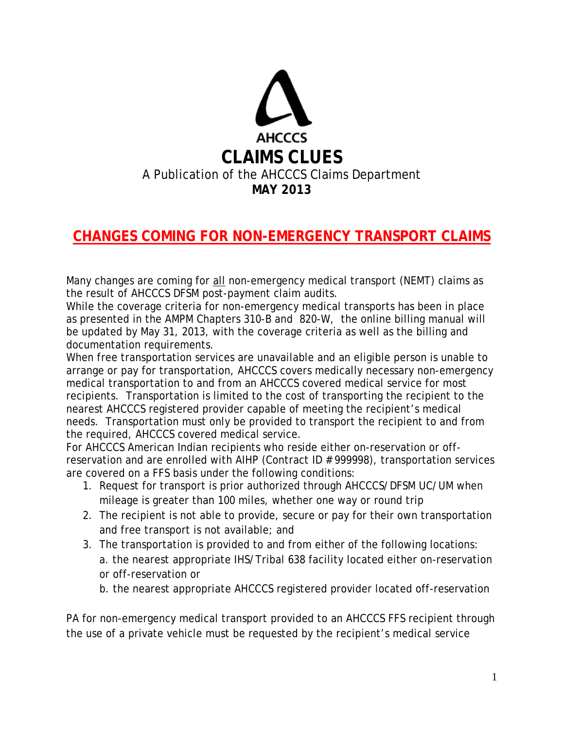

## **CHANGES COMING FOR NON-EMERGENCY TRANSPORT CLAIMS**

Many changes are coming for all non-emergency medical transport (NEMT) claims as the result of AHCCCS DFSM post-payment claim audits.

While the coverage criteria for non-emergency medical transports has been in place as presented in the AMPM Chapters 310-B and 820-W, the online billing manual will be updated by May 31, 2013, with the coverage criteria as well as the billing and documentation requirements.

When free transportation services are unavailable and an eligible person is unable to arrange or pay for transportation, AHCCCS covers medically necessary non-emergency medical transportation to and from an AHCCCS covered medical service for most recipients. Transportation is limited to the cost of transporting the recipient to the nearest AHCCCS registered provider capable of meeting the recipient's medical needs. Transportation must only be provided to transport the recipient to and from the required, AHCCCS covered medical service.

For AHCCCS American Indian recipients who reside either on-reservation or offreservation and are enrolled with AIHP (Contract ID # 999998), transportation services are covered on a FFS basis under the following conditions:

- 1. Request for transport is prior authorized through AHCCCS/DFSM UC/UM when mileage is greater than 100 miles, whether one way or round trip
- 2. The recipient is not able to provide, secure or pay for their own transportation and free transport is not available; and
- 3. The transportation is provided to and from either of the following locations: a. the nearest appropriate IHS/Tribal 638 facility located either on-reservation or off-reservation or
	- b. the nearest appropriate AHCCCS registered provider located off-reservation

PA for non-emergency medical transport provided to an AHCCCS FFS recipient through the use of a private vehicle must be requested by the recipient's medical service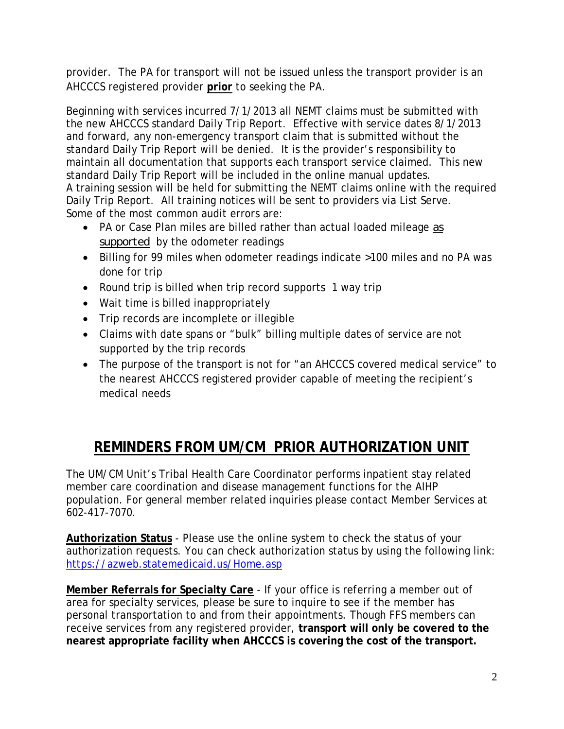provider. The PA for transport will not be issued unless the transport provider is an AHCCCS registered provider **prior** to seeking the PA.

Beginning with services incurred 7/1/2013 all NEMT claims must be submitted with the new AHCCCS standard Daily Trip Report. Effective with service dates 8/1/2013 and forward, any non-emergency transport claim that is submitted without the standard Daily Trip Report will be denied. It is the provider's responsibility to maintain all documentation that supports each transport service claimed. This new standard Daily Trip Report will be included in the online manual updates. A training session will be held for submitting the NEMT claims online with the required Daily Trip Report. All training notices will be sent to providers via List Serve. Some of the most common audit errors are:

- PA or Case Plan miles are billed rather than actual loaded mileage *as supported* by the odometer readings
- Billing for 99 miles when odometer readings indicate >100 miles and no PA was done for trip
- Round trip is billed when trip record supports 1 way trip
- Wait time is billed inappropriately
- Trip records are incomplete or illegible
- Claims with date spans or "bulk" billing multiple dates of service are not supported by the trip records
- The purpose of the transport is not for "an AHCCCS covered medical service" to the nearest AHCCCS registered provider capable of meeting the recipient's medical needs

## **REMINDERS FROM UM/CM PRIOR AUTHORIZATION UNIT**

The UM/CM Unit's Tribal Health Care Coordinator performs inpatient stay related member care coordination and disease management functions for the AIHP population. For general member related inquiries please contact Member Services at 602-417-7070.

**Authorization Status** - Please use the online system to check the status of your authorization requests. You can check authorization status by using the following link: https://azweb.statemedicaid.us/Home.asp

**Member Referrals for Specialty Care** - If your office is referring a member out of area for specialty services, please be sure to inquire to see if the member has personal transportation to and from their appointments. Though FFS members can receive services from any registered provider, **transport will only be covered to the nearest appropriate facility when AHCCCS is covering the cost of the transport.**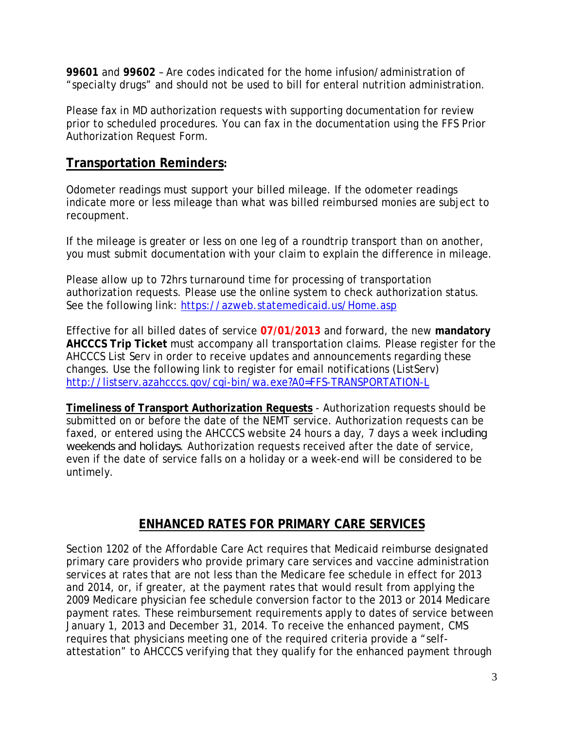**99601** and **99602** – Are codes indicated for the home infusion/administration of "specialty drugs" and should not be used to bill for enteral nutrition administration.

Please fax in MD authorization requests with supporting documentation for review prior to scheduled procedures. You can fax in the documentation using the FFS Prior Authorization Request Form.

## **Transportation Reminders:**

Odometer readings must support your billed mileage. If the odometer readings indicate more or less mileage than what was billed reimbursed monies are subject to recoupment.

If the mileage is greater or less on one leg of a roundtrip transport than on another, you must submit documentation with your claim to explain the difference in mileage.

Please allow up to 72hrs turnaround time for processing of transportation authorization requests. Please use the online system to check authorization status. See the following link: https://azweb.statemedicaid.us/Home.asp

Effective for all billed dates of service **07/01/2013** and forward, the new **mandatory AHCCCS Trip Ticket** must accompany all transportation claims. Please register for the AHCCCS List Serv in order to receive updates and announcements regarding these changes. Use the following link to register for email notifications (ListServ) http://listserv.azahcccs.gov/cgi-bin/wa.exe?A0=FFS-TRANSPORTATION-L

**Timeliness of Transport Authorization Requests** - Authorization requests should be submitted on or before the date of the NEMT service. Authorization requests can be faxed, or entered using the AHCCCS website 24 hours a day, 7 days a week *including weekends and holidays*. Authorization requests received after the date of service, even if the date of service falls on a holiday or a week-end will be considered to be untimely.

## **ENHANCED RATES FOR PRIMARY CARE SERVICES**

Section 1202 of the Affordable Care Act requires that Medicaid reimburse designated primary care providers who provide primary care services and vaccine administration services at rates that are not less than the Medicare fee schedule in effect for 2013 and 2014, or, if greater, at the payment rates that would result from applying the 2009 Medicare physician fee schedule conversion factor to the 2013 or 2014 Medicare payment rates. These reimbursement requirements apply to dates of service between January 1, 2013 and December 31, 2014. To receive the enhanced payment, CMS requires that physicians meeting one of the required criteria provide a "selfattestation" to AHCCCS verifying that they qualify for the enhanced payment through